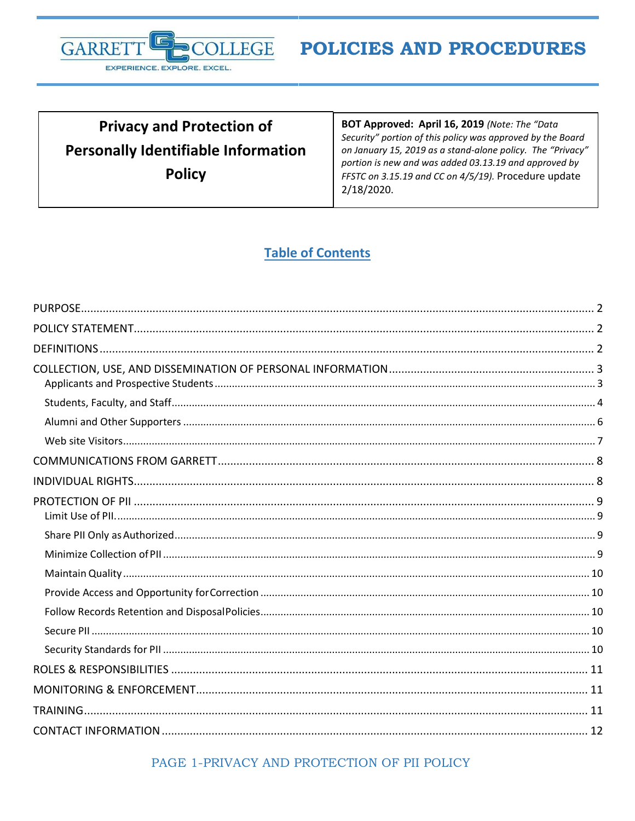

# **Privacy and Protection of Personally Identifiable Information Policy**

BOT Approved: April 16, 2019 (Note: The "Data Security" portion of this policy was approved by the Board on January 15, 2019 as a stand-alone policy. The "Privacy" portion is new and was added 03.13.19 and approved by FFSTC on 3.15.19 and CC on 4/5/19). Procedure update 2/18/2020.

# **Table of Contents**

PAGE 1-PRIVACY AND PROTECTION OF PII POLICY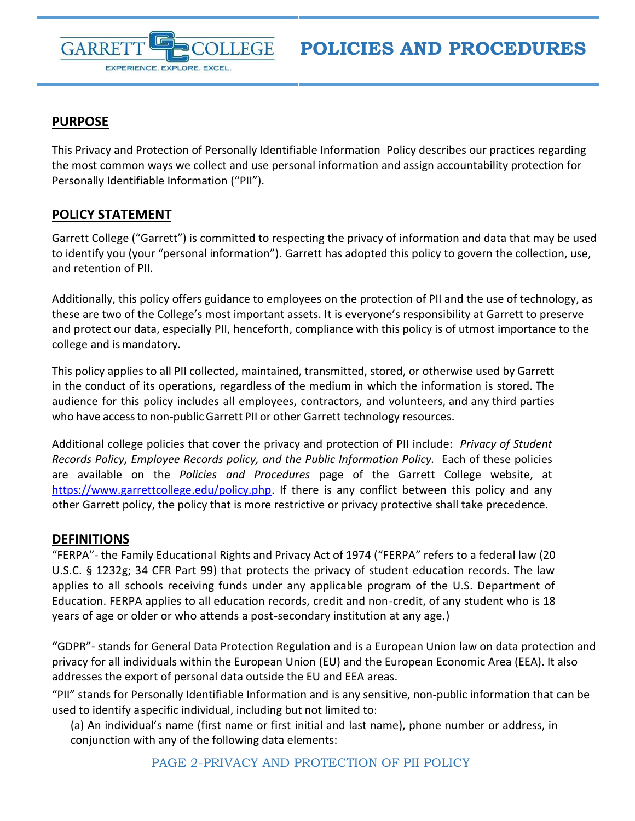

# <span id="page-1-0"></span>**PURPOSE**

**GARRE** 

EXPERIENCE. EXPLORE. EXCEL.

This Privacy and Protection of Personally Identifiable Information Policy describes our practices regarding the most common ways we collect and use personal information and assign accountability protection for Personally Identifiable Information ("PII").

# <span id="page-1-1"></span>**POLICY STATEMENT**

Garrett College ("Garrett") is committed to respecting the privacy of information and data that may be used to identify you (your "personal information"). Garrett has adopted this policy to govern the collection, use, and retention of PII.

Additionally, this policy offers guidance to employees on the protection of PII and the use of technology, as these are two of the College's most important assets. It is everyone's responsibility at Garrett to preserve and protect our data, especially PII, henceforth, compliance with this policy is of utmost importance to the college and is mandatory.

This policy applies to all PII collected, maintained, transmitted, stored, or otherwise used by Garrett in the conduct of its operations, regardless of the medium in which the information is stored. The audience for this policy includes all employees, contractors, and volunteers, and any third parties who have accessto non-publicGarrett PII or other Garrett technology resources.

Additional college policies that cover the privacy and protection of PII include: *Privacy of Student Records Policy, Employee Records policy, and the Public Information Policy.* Each of these policies are available on the *Policies and Procedures* page of the Garrett College website, at [https://www.garrettcollege.edu/policy.php.](https://www.garrettcollege.edu/policy.php) If there is any conflict between this policy and any other Garrett policy, the policy that is more restrictive or privacy protective shall take precedence.

# <span id="page-1-2"></span>**DEFINITIONS**

"FERPA"- the Family Educational Rights and Privacy Act of 1974 ("FERPA" refers to a federal law (20 U.S.C. § 1232g; 34 CFR Part 99) that protects the privacy of student education records. The law applies to all schools receiving funds under any applicable program of the U.S. Department of Education. FERPA applies to all education records, credit and non-credit, of any student who is 18 years of age or older or who attends a post-secondary institution at any age.)

**"**GDPR"- stands for General Data Protection Regulation and is a European Union law on data protection and privacy for all individuals within the European Union (EU) and the European Economic Area (EEA). It also addresses the export of personal data outside the EU and EEA areas.

"PII" stands for Personally Identifiable Information and is any sensitive, non-public information that can be used to identify aspecific individual, including but not limited to:

(a) An individual's name (first name or first initial and last name), phone number or address, in conjunction with any of the following data elements: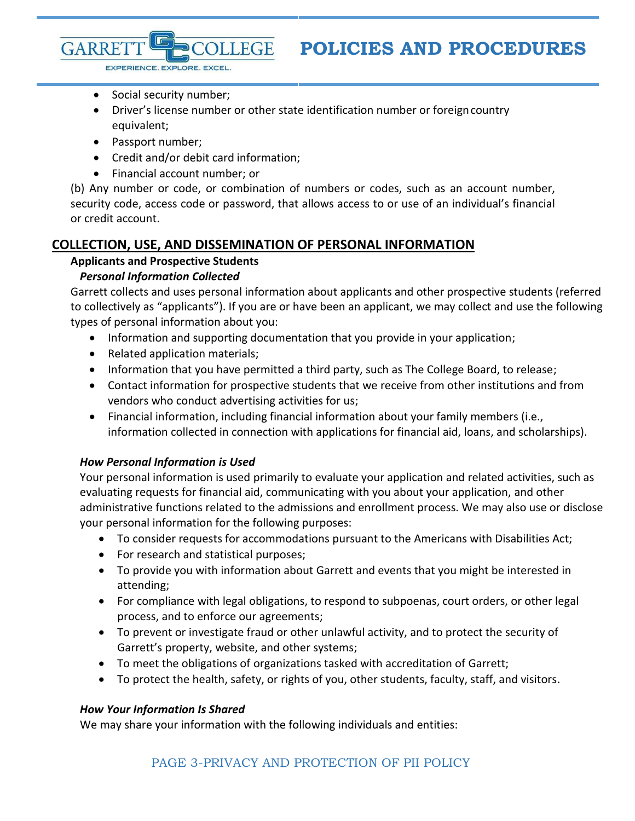- EXPERIENCE. EXPLORE. EXCEL.
- Social security number;
- Driver's license number or other state identification number or foreigncountry equivalent;
- Passport number;

**GARRE** 

- Credit and/or debit card information;
- Financial account number; or

(b) Any number or code, or combination of numbers or codes, such as an account number, security code, access code or password, that allows access to or use of an individual's financial or credit account.

### <span id="page-2-1"></span><span id="page-2-0"></span>**COLLECTION, USE, AND DISSEMINATION OF PERSONAL INFORMATION**

**LLEGE** 

#### **Applicants and Prospective Students**

#### *Personal Information Collected*

Garrett collects and uses personal information about applicants and other prospective students (referred to collectively as "applicants"). If you are or have been an applicant, we may collect and use the following types of personal information about you:

- Information and supporting documentation that you provide in your application;
- Related application materials;
- Information that you have permitted a third party, such as The College Board, to release;
- Contact information for prospective students that we receive from other institutions and from vendors who conduct advertising activities for us;
- Financial information, including financial information about your family members (i.e., information collected in connection with applications for financial aid, loans, and scholarships).

#### *How Personal Information is Used*

Your personal information is used primarily to evaluate your application and related activities, such as evaluating requests for financial aid, communicating with you about your application, and other administrative functions related to the admissions and enrollment process. We may also use or disclose your personal information for the following purposes:

- To consider requests for accommodations pursuant to the Americans with Disabilities Act;
- For research and statistical purposes;
- To provide you with information about Garrett and events that you might be interested in attending;
- For compliance with legal obligations, to respond to subpoenas, court orders, or other legal process, and to enforce our agreements;
- To prevent or investigate fraud or other unlawful activity, and to protect the security of Garrett's property, website, and other systems;
- To meet the obligations of organizations tasked with accreditation of Garrett;
- To protect the health, safety, or rights of you, other students, faculty, staff, and visitors.

#### *How Your Information Is Shared*

We may share your information with the following individuals and entities: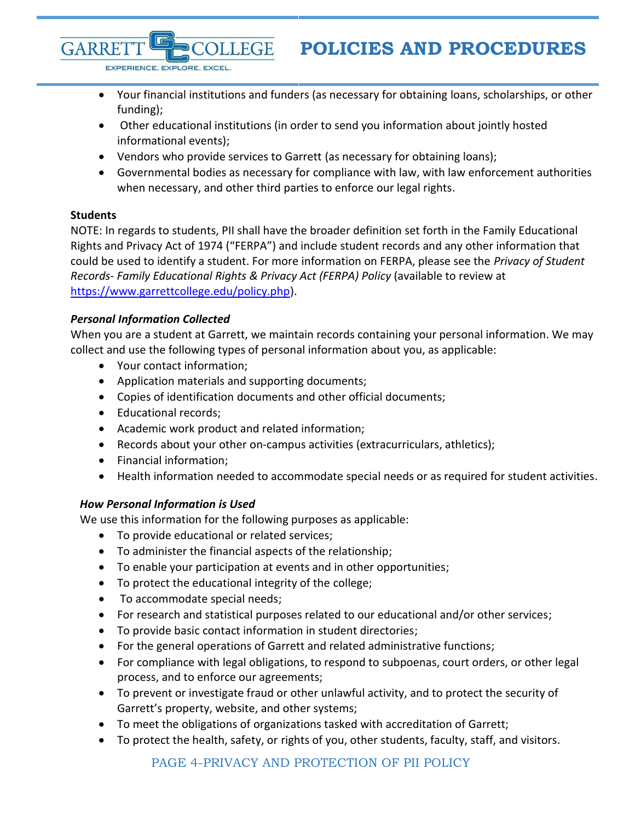- Your financial institutions and funders (as necessary for obtaining loans, scholarships, or other funding);
- Other educational institutions (in order to send you information about jointly hosted informational events);
- Vendors who provide services to Garrett (as necessary for obtaining loans);

**DLLEGE** 

 Governmental bodies as necessary for compliance with law, with law enforcement authorities when necessary, and other third parties to enforce our legal rights.

# <span id="page-3-0"></span>**Students**

**GARRE** 

NOTE: In regards to students, PII shall have the broader definition set forth in the Family Educational Rights and Privacy Act of 1974 ("FERPA") and include student records and any other information that could be used to identify a student. For more information on FERPA, please see the *Privacy of Student Records- Family Educational Rights & Privacy Act (FERPA) Policy* (available to review at [https://www.garrettcollege.edu/policy.php\)](https://www.garrettcollege.edu/policy.php).

# *Personal Information Collected*

When you are a student at Garrett, we maintain records containing your personal information. We may collect and use the following types of personal information about you, as applicable:

Your contact information;

EXPERIENCE. EXPLORE. EXCEL.

- Application materials and supporting documents;
- Copies of identification documents and other official documents;
- Educational records:
- Academic work product and related information;
- Records about your other on-campus activities (extracurriculars, athletics);
- Financial information;
- Health information needed to accommodate special needs or as required for student activities.

# *How Personal Information is Used*

We use this information for the following purposes as applicable:

- To provide educational or related services;
- To administer the financial aspects of the relationship;
- To enable your participation at events and in other opportunities;
- To protect the educational integrity of the college;
- To accommodate special needs;
- For research and statistical purposes related to our educational and/or other services;
- To provide basic contact information in student directories;
- For the general operations of Garrett and related administrative functions;
- For compliance with legal obligations, to respond to subpoenas, court orders, or other legal process, and to enforce our agreements;
- To prevent or investigate fraud or other unlawful activity, and to protect the security of Garrett's property, website, and other systems;
- To meet the obligations of organizations tasked with accreditation of Garrett;
- To protect the health, safety, or rights of you, other students, faculty, staff, and visitors.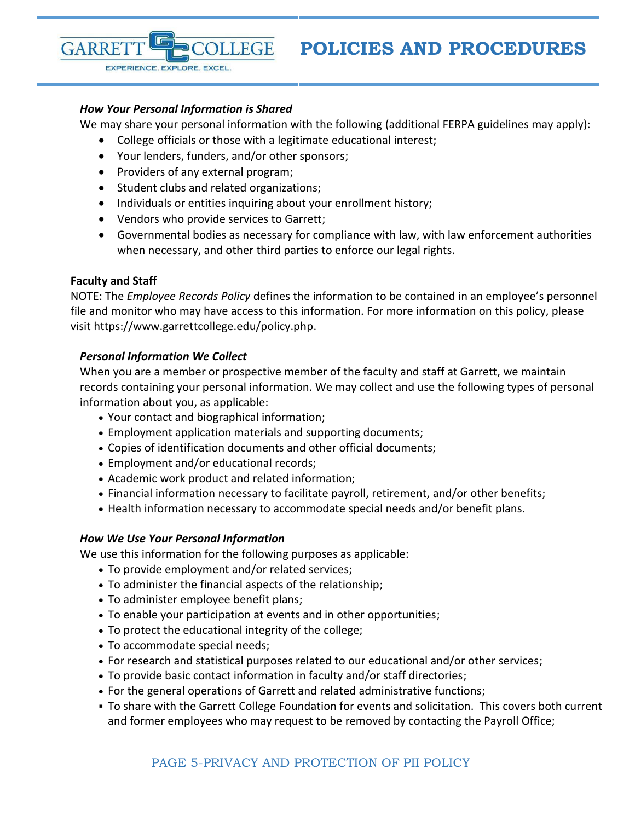#### *How Your Personal Information is Shared*

EXPERIENCE. EXPLORE. EXCEL

We may share your personal information with the following (additional FERPA guidelines may apply):

- College officials or those with a legitimate educational interest;
- Your lenders, funders, and/or other sponsors;
- Providers of any external program;
- Student clubs and related organizations;
- Individuals or entities inquiring about your enrollment history;
- Vendors who provide services to Garrett;
- Governmental bodies as necessary for compliance with law, with law enforcement authorities when necessary, and other third parties to enforce our legal rights.

#### **Faculty and Staff**

**GARRE** 

NOTE: The *Employee Records Policy* defines the information to be contained in an employee's personnel file and monitor who may have access to this information. For more information on this policy, please visit https://www.garrettcollege.edu/policy.php.

#### *Personal Information We Collect*

When you are a member or prospective member of the faculty and staff at Garrett, we maintain records containing your personal information. We may collect and use the following types of personal information about you, as applicable:

- Your contact and biographical information;
- Employment application materials and supporting documents;
- Copies of identification documents and other official documents;
- Employment and/or educational records;
- Academic work product and related information;
- Financial information necessary to facilitate payroll, retirement, and/or other benefits;
- Health information necessary to accommodate special needs and/or benefit plans.

#### *How We Use Your Personal Information*

We use this information for the following purposes as applicable:

- To provide employment and/or related services;
- To administer the financial aspects of the relationship;
- To administer employee benefit plans;
- To enable your participation at events and in other opportunities;
- To protect the educational integrity of the college;
- To accommodate special needs;
- For research and statistical purposes related to our educational and/or other services;
- To provide basic contact information in faculty and/or staff directories;
- For the general operations of Garrett and related administrative functions;
- To share with the Garrett College Foundation for events and solicitation. This covers both current and former employees who may request to be removed by contacting the Payroll Office;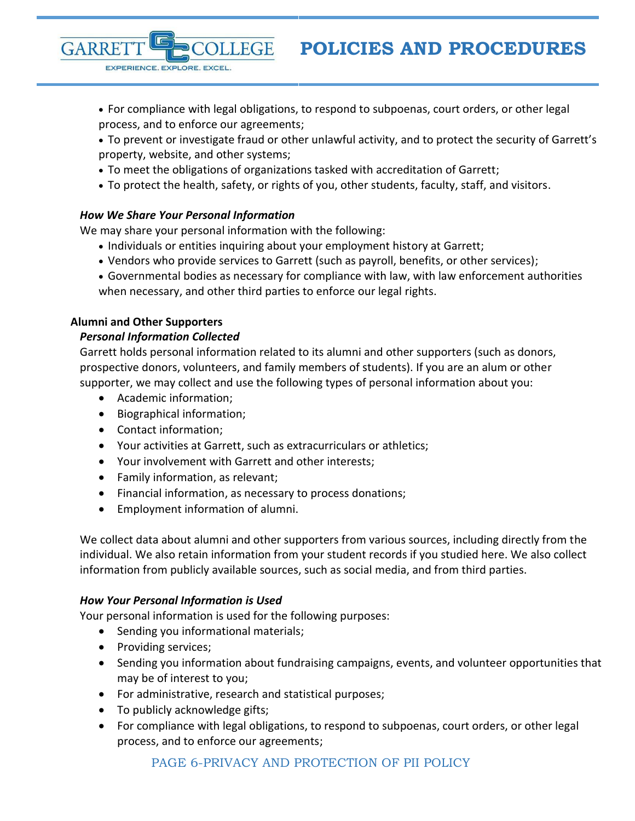For compliance with legal obligations, to respond to subpoenas, court orders, or other legal process, and to enforce our agreements;

 To prevent or investigate fraud or other unlawful activity, and to protect the security of Garrett's property, website, and other systems;

- To meet the obligations of organizations tasked with accreditation of Garrett;
- To protect the health, safety, or rights of you, other students, faculty, staff, and visitors.

# *How We Share Your Personal Information*

EXPERIENCE. EXPLORE. EXCEL.

We may share your personal information with the following:

**LLEGE** 

- Individuals or entities inquiring about your employment history at Garrett;
- Vendors who provide services to Garrett (such as payroll, benefits, or other services);
- Governmental bodies as necessary for compliance with law, with law enforcement authorities when necessary, and other third parties to enforce our legal rights.

## <span id="page-5-0"></span>**Alumni and Other Supporters**

**GARRE** 

## *Personal Information Collected*

Garrett holds personal information related to its alumni and other supporters (such as donors, prospective donors, volunteers, and family members of students). If you are an alum or other supporter, we may collect and use the following types of personal information about you:

- Academic information;
- Biographical information;
- Contact information;
- Your activities at Garrett, such as extracurriculars or athletics;
- Your involvement with Garrett and other interests;
- Family information, as relevant;
- Financial information, as necessary to process donations;
- Employment information of alumni.

We collect data about alumni and other supporters from various sources, including directly from the individual. We also retain information from your student records if you studied here. We also collect information from publicly available sources, such as social media, and from third parties.

### *How Your Personal Information is Used*

Your personal information is used for the following purposes:

- Sending you informational materials;
- Providing services;
- Sending you information about fundraising campaigns, events, and volunteer opportunities that may be of interest to you;
- For administrative, research and statistical purposes;
- To publicly acknowledge gifts;
- For compliance with legal obligations, to respond to subpoenas, court orders, or other legal process, and to enforce our agreements;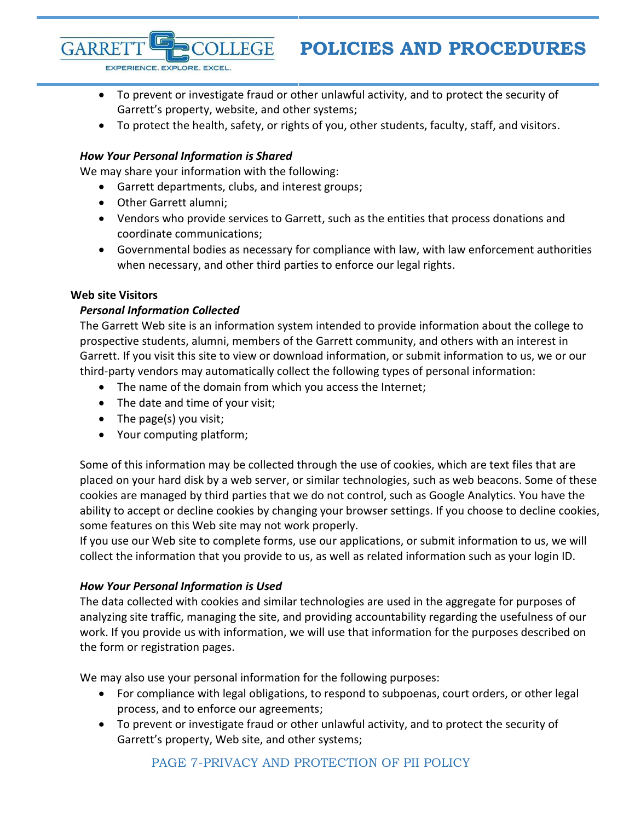To prevent or investigate fraud or other unlawful activity, and to protect the security of Garrett's property, website, and other systems;

To protect the health, safety, or rights of you, other students, faculty, staff, and visitors.

### *How Your Personal Information is Shared*

We may share your information with the following:

Garrett departments, clubs, and interest groups;

**LEGE** 

Other Garrett alumni;

EXPERIENCE. EXPLORE. EXCEL

- Vendors who provide services to Garrett, such as the entities that process donations and coordinate communications;
- Governmental bodies as necessary for compliance with law, with law enforcement authorities when necessary, and other third parties to enforce our legal rights.

### <span id="page-6-0"></span>**Web site Visitors**

**GARRE** 

### *Personal Information Collected*

The Garrett Web site is an information system intended to provide information about the college to prospective students, alumni, members of the Garrett community, and others with an interest in Garrett. If you visit this site to view or download information, or submit information to us, we or our third-party vendors may automatically collect the following types of personal information:

- The name of the domain from which you access the Internet;
- The date and time of your visit;
- The page(s) you visit;
- Your computing platform;

Some of this information may be collected through the use of cookies, which are text files that are placed on your hard disk by a web server, or similar technologies, such as web beacons. Some of these cookies are managed by third parties that we do not control, such as Google Analytics. You have the ability to accept or decline cookies by changing your browser settings. If you choose to decline cookies, some features on this Web site may not work properly.

If you use our Web site to complete forms, use our applications, or submit information to us, we will collect the information that you provide to us, as well as related information such as your login ID.

### *How Your Personal Information is Used*

The data collected with cookies and similar technologies are used in the aggregate for purposes of analyzing site traffic, managing the site, and providing accountability regarding the usefulness of our work. If you provide us with information, we will use that information for the purposes described on the form or registration pages.

We may also use your personal information for the following purposes:

- For compliance with legal obligations, to respond to subpoenas, court orders, or other legal process, and to enforce our agreements;
- To prevent or investigate fraud or other unlawful activity, and to protect the security of Garrett's property, Web site, and other systems;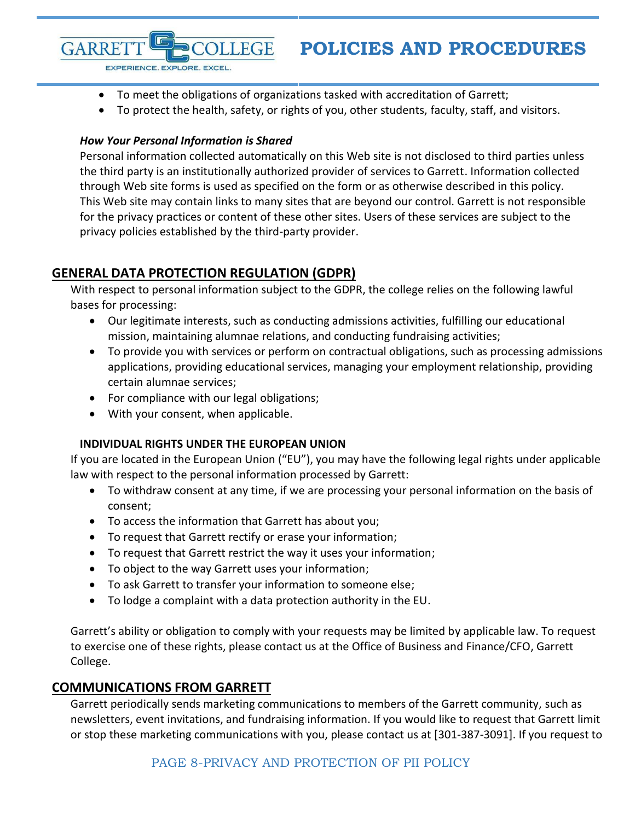- To meet the obligations of organizations tasked with accreditation of Garrett;
- To protect the health, safety, or rights of you, other students, faculty, staff, and visitors.

### *How Your Personal Information is Shared*

EXPERIENCE. EXPLORE. EXCEL

**GARRE** 

Personal information collected automatically on this Web site is not disclosed to third parties unless the third party is an institutionally authorized provider of services to Garrett. Information collected through Web site forms is used as specified on the form or as otherwise described in this policy. This Web site may contain links to many sites that are beyond our control. Garrett is not responsible for the privacy practices or content of these other sites. Users of these services are subject to the privacy policies established by the third-party provider.

# <span id="page-7-0"></span>**GENERAL DATA PROTECTION REGULATION (GDPR)**

With respect to personal information subject to the GDPR, the college relies on the following lawful bases for processing:

- Our legitimate interests, such as conducting admissions activities, fulfilling our educational mission, maintaining alumnae relations, and conducting fundraising activities;
- To provide you with services or perform on contractual obligations, such as processing admissions applications, providing educational services, managing your employment relationship, providing certain alumnae services;
- For compliance with our legal obligations;
- With your consent, when applicable.

# **INDIVIDUAL RIGHTS UNDER THE EUROPEAN UNION**

<span id="page-7-1"></span>If you are located in the European Union ("EU"), you may have the following legal rights under applicable law with respect to the personal information processed by Garrett:

- To withdraw consent at any time, if we are processing your personal information on the basis of consent;
- To access the information that Garrett has about you;
- To request that Garrett rectify or erase your information;
- To request that Garrett restrict the way it uses your information;
- To object to the way Garrett uses your information;
- To ask Garrett to transfer your information to someone else;
- To lodge a complaint with a data protection authority in the EU.

Garrett's ability or obligation to comply with your requests may be limited by applicable law. To request to exercise one of these rights, please contact us at the Office of Business and Finance/CFO, Garrett College.

# **COMMUNICATIONS FROM GARRETT**

Garrett periodically sends marketing communications to members of the Garrett community, such as newsletters, event invitations, and fundraising information. If you would like to request that Garrett limit or stop these marketing communications with you, please contact us at [301-387-3091]. If you request to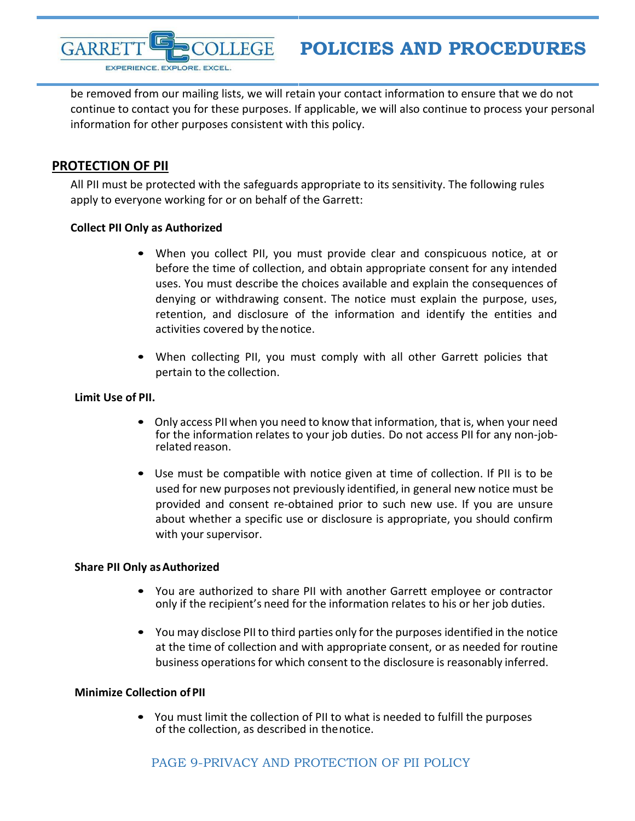**GARRE LLEGE** EXPERIENCE. EXPLORE. EXCEL.

# **POLICIES AND PROCEDURES**

be removed from our mailing lists, we will retain your contact information to ensure that we do not continue to contact you for these purposes. If applicable, we will also continue to process your personal information for other purposes consistent with this policy.

# <span id="page-8-0"></span>**PROTECTION OF PII**

All PII must be protected with the safeguards appropriate to its sensitivity. The following rules apply to everyone working for or on behalf of the Garrett:

### **Collect PII Only as Authorized**

- When you collect PII, you must provide clear and conspicuous notice, at or before the time of collection, and obtain appropriate consent for any intended uses. You must describe the choices available and explain the consequences of denying or withdrawing consent. The notice must explain the purpose, uses, retention, and disclosure of the information and identify the entities and activities covered by the notice.
- When collecting PII, you must comply with all other Garrett policies that pertain to the collection.

### <span id="page-8-1"></span>**Limit Use of PII.**

- Only access PII when you need to know that information, that is, when your need for the information relates to your job duties. Do not access PII for any non-jobrelated reason.
- Use must be compatible with notice given at time of collection. If PII is to be used for new purposes not previously identified, in general new notice must be provided and consent re-obtained prior to such new use. If you are unsure about whether a specific use or disclosure is appropriate, you should confirm with your supervisor.

### <span id="page-8-2"></span>**Share PII Only asAuthorized**

- You are authorized to share PII with another Garrett employee or contractor only if the recipient's need for the information relates to his or her job duties.
- You may disclose PII to third parties only for the purposes identified in the notice at the time of collection and with appropriate consent, or as needed for routine business operations for which consent to the disclosure is reasonably inferred.

### <span id="page-8-3"></span>**Minimize Collection of PII**

• You must limit the collection of PII to what is needed to fulfill the purposes of the collection, as described in thenotice.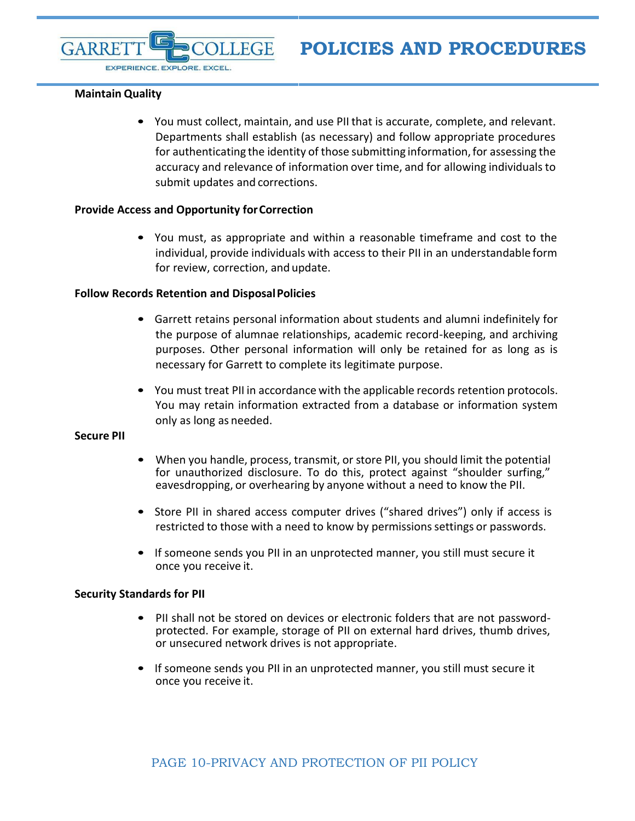EXPERIENCE. EXPLORE. EXCEL.

#### <span id="page-9-0"></span>**Maintain Quality**

GARRE

• You must collect, maintain, and use PII that is accurate, complete, and relevant. Departments shall establish (as necessary) and follow appropriate procedures for authenticating the identity of those submitting information, for assessing the accuracy and relevance of information over time, and for allowing individualsto submit updates and corrections.

#### <span id="page-9-1"></span>**Provide Access and Opportunity forCorrection**

**LLEGE** 

• You must, as appropriate and within a reasonable timeframe and cost to the individual, provide individuals with access to their PII in an understandable form for review, correction, and update.

#### <span id="page-9-2"></span>**Follow Records Retention and DisposalPolicies**

- Garrett retains personal information about students and alumni indefinitely for the purpose of alumnae relationships, academic record-keeping, and archiving purposes. Other personal information will only be retained for as long as is necessary for Garrett to complete its legitimate purpose.
- You must treat PII in accordance with the applicable records retention protocols. You may retain information extracted from a database or information system only as long as needed.

#### <span id="page-9-3"></span>**Secure PII**

- When you handle, process, transmit, or store PII, you should limit the potential for unauthorized disclosure. To do this, protect against "shoulder surfing," eavesdropping, or overhearing by anyone without a need to know the PII.
- Store PII in shared access computer drives ("shared drives") only if access is restricted to those with a need to know by permissions settings or passwords.
- If someone sends you PII in an unprotected manner, you still must secure it once you receive it.

#### <span id="page-9-4"></span>**Security Standards for PII**

- PII shall not be stored on devices or electronic folders that are not passwordprotected. For example, storage of PII on external hard drives, thumb drives, or unsecured network drives is not appropriate.
- If someone sends you PII in an unprotected manner, you still must secure it once you receive it.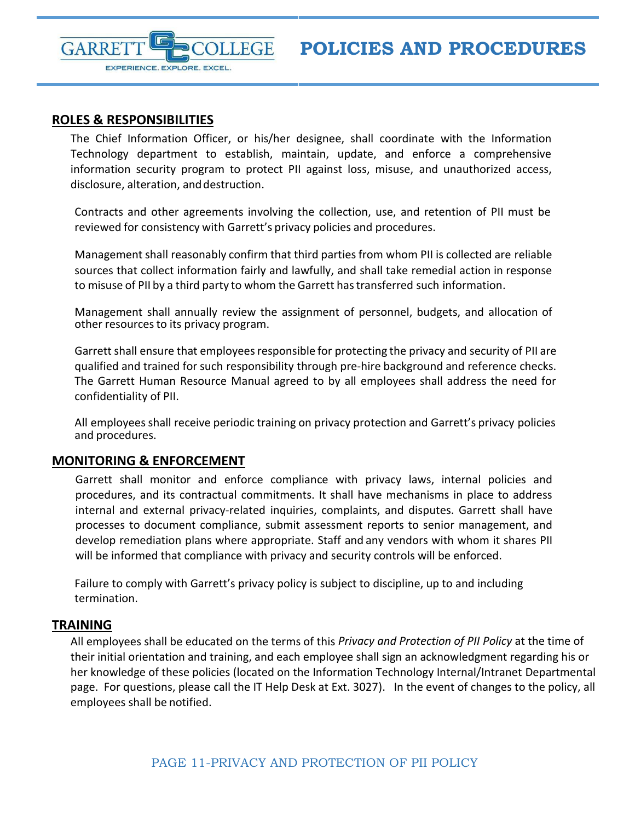<span id="page-10-0"></span>

EXPERIENCE. EXPLORE. EXCEL.

## **ROLES & RESPONSIBILITIES**

GARRE

The Chief Information Officer, or his/her designee, shall coordinate with the Information Technology department to establish, maintain, update, and enforce a comprehensive information security program to protect PII against loss, misuse, and unauthorized access, disclosure, alteration, and destruction.

**LEGE** 

Contracts and other agreements involving the collection, use, and retention of PII must be reviewed for consistency with Garrett's privacy policies and procedures.

Management shall reasonably confirm that third partiesfrom whom PII is collected are reliable sources that collect information fairly and lawfully, and shall take remedial action in response to misuse of PII by a third party to whom the Garrett has transferred such information.

Management shall annually review the assignment of personnel, budgets, and allocation of other resources to its privacy program.

Garrett shall ensure that employees responsible for protecting the privacy and security of PII are qualified and trained for such responsibility through pre-hire background and reference checks. The Garrett Human Resource Manual agreed to by all employees shall address the need for confidentiality of PII.

<span id="page-10-1"></span>All employees shall receive periodic training on privacy protection and Garrett's privacy policies and procedures.

### **MONITORING & ENFORCEMENT**

Garrett shall monitor and enforce compliance with privacy laws, internal policies and procedures, and its contractual commitments. It shall have mechanisms in place to address internal and external privacy-related inquiries, complaints, and disputes. Garrett shall have processes to document compliance, submit assessment reports to senior management, and develop remediation plans where appropriate. Staff and any vendors with whom it shares PII will be informed that compliance with privacy and security controls will be enforced.

Failure to comply with Garrett's privacy policy is subject to discipline, up to and including termination.

#### <span id="page-10-2"></span>**TRAINING**

All employees shall be educated on the terms of this *Privacy and Protection of PII Policy* at the time of their initial orientation and training, and each employee shall sign an acknowledgment regarding his or her knowledge of these policies (located on the Information Technology Internal/Intranet Departmental page. For questions, please call the IT Help Desk at Ext. 3027). In the event of changes to the policy, all employees shall be notified.